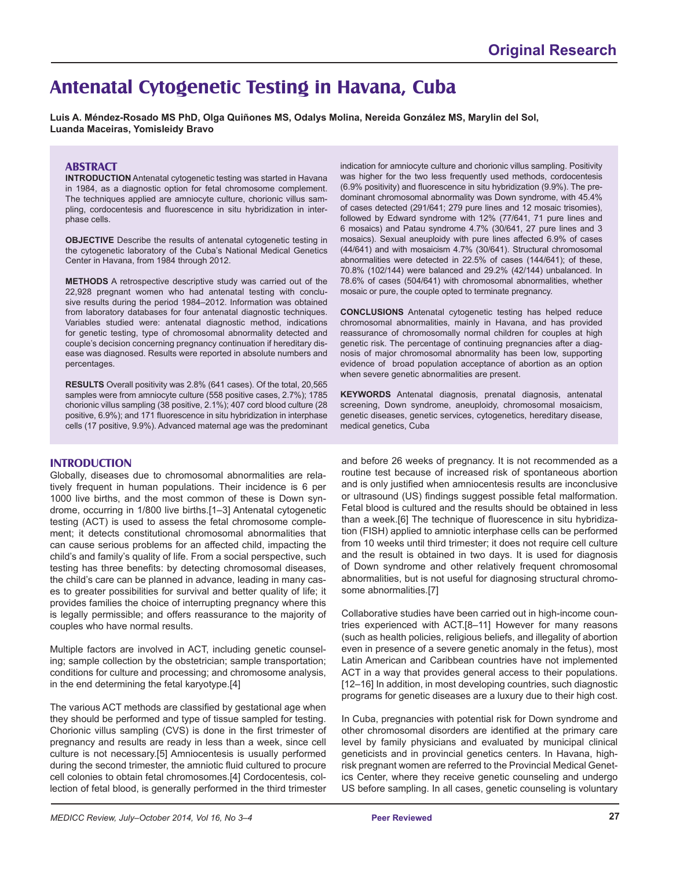# **Antenatal Cytogenetic Testing in Havana, Cuba**

**Luis A. Méndez-Rosado MS PhD, Olga Quiñones MS, Odalys Molina, Nereida González MS, Marylin del Sol, Luanda Maceiras, Yomisleidy Bravo** 

### **ABSTRACT**

**INTRODUCTION** Antenatal cytogenetic testing was started in Havana in 1984, as a diagnostic option for fetal chromosome complement. The techniques applied are amniocyte culture, chorionic villus sampling, cordocentesis and fluorescence in situ hybridization in interphase cells.

**OBJECTIVE** Describe the results of antenatal cytogenetic testing in the cytogenetic laboratory of the Cuba's National Medical Genetics Center in Havana, from 1984 through 2012.

**METHODS** A retrospective descriptive study was carried out of the 22,928 pregnant women who had antenatal testing with conclusive results during the period 1984–2012. Information was obtained from laboratory databases for four antenatal diagnostic techniques. Variables studied were: antenatal diagnostic method, indications for genetic testing, type of chromosomal abnormality detected and couple's decision concerning pregnancy continuation if hereditary disease was diagnosed. Results were reported in absolute numbers and percentages.

**RESULTS** Overall positivity was 2.8% (641 cases). Of the total, 20,565 samples were from amniocyte culture (558 positive cases, 2.7%); 1785 chorionic villus sampling (38 positive, 2.1%); 407 cord blood culture (28 positive, 6.9%); and 171 fluorescence in situ hybridization in interphase cells (17 positive, 9.9%). Advanced maternal age was the predominant

#### **INTRODUCTION**

Globally, diseases due to chromosomal abnormalities are relatively frequent in human populations. Their incidence is 6 per 1000 live births, and the most common of these is Down syndrome, occurring in 1/800 live births.[1–3] Antenatal cytogenetic testing (ACT) is used to assess the fetal chromosome complement; it detects constitutional chromosomal abnormalities that can cause serious problems for an affected child, impacting the child's and family's quality of life. From a social perspective, such testing has three benefits: by detecting chromosomal diseases, the child's care can be planned in advance, leading in many cases to greater possibilities for survival and better quality of life; it provides families the choice of interrupting pregnancy where this is legally permissible; and offers reassurance to the majority of couples who have normal results.

Multiple factors are involved in ACT, including genetic counseling; sample collection by the obstetrician; sample transportation; conditions for culture and processing; and chromosome analysis, in the end determining the fetal karyotype.[4]

The various ACT methods are classified by gestational age when they should be performed and type of tissue sampled for testing. Chorionic villus sampling (CVS) is done in the first trimester of pregnancy and results are ready in less than a week, since cell culture is not necessary.[5] Amniocentesis is usually performed during the second trimester, the amniotic fluid cultured to procure cell colonies to obtain fetal chromosomes.[4] Cordocentesis, collection of fetal blood, is generally performed in the third trimester

indication for amniocyte culture and chorionic villus sampling. Positivity was higher for the two less frequently used methods, cordocentesis (6.9% positivity) and fluorescence in situ hybridization (9.9%). The predominant chromosomal abnormality was Down syndrome, with 45.4% of cases detected (291/641; 279 pure lines and 12 mosaic trisomies), followed by Edward syndrome with 12% (77/641, 71 pure lines and 6 mosaics) and Patau syndrome 4.7% (30/641, 27 pure lines and 3 mosaics). Sexual aneuploidy with pure lines affected 6.9% of cases (44/641) and with mosaicism 4.7% (30/641). Structural chromosomal abnormalities were detected in 22.5% of cases (144/641); of these, 70.8% (102/144) were balanced and 29.2% (42/144) unbalanced. In 78.6% of cases (504/641) with chromosomal abnormalities, whether mosaic or pure, the couple opted to terminate pregnancy.

**CONCLUSIONS** Antenatal cytogenetic testing has helped reduce chromosomal abnormalities, mainly in Havana, and has provided reassurance of chromosomally normal children for couples at high genetic risk. The percentage of continuing pregnancies after a diagnosis of major chromosomal abnormality has been low, supporting evidence of broad population acceptance of abortion as an option when severe genetic abnormalities are present.

**KEYWORDS** Antenatal diagnosis, prenatal diagnosis, antenatal screening, Down syndrome, aneuploidy, chromosomal mosaicism, genetic diseases, genetic services, cytogenetics, hereditary disease, medical genetics, Cuba

and before 26 weeks of pregnancy. It is not recommended as a routine test because of increased risk of spontaneous abortion and is only justified when amniocentesis results are inconclusive or ultrasound (US) findings suggest possible fetal malformation. Fetal blood is cultured and the results should be obtained in less than a week.[6] The technique of fluorescence in situ hybridization (FISH) applied to amniotic interphase cells can be performed from 10 weeks until third trimester; it does not require cell culture and the result is obtained in two days. It is used for diagnosis of Down syndrome and other relatively frequent chromosomal abnormalities, but is not useful for diagnosing structural chromosome abnormalities.[7]

Collaborative studies have been carried out in high-income countries experienced with ACT.[8–11] However for many reasons (such as health policies, religious beliefs, and illegality of abortion even in presence of a severe genetic anomaly in the fetus), most Latin American and Caribbean countries have not implemented ACT in a way that provides general access to their populations. [12–16] In addition, in most developing countries, such diagnostic programs for genetic diseases are a luxury due to their high cost.

In Cuba, pregnancies with potential risk for Down syndrome and other chromosomal disorders are identified at the primary care level by family physicians and evaluated by municipal clinical geneticists and in provincial genetics centers. In Havana, highrisk pregnant women are referred to the Provincial Medical Genetics Center, where they receive genetic counseling and undergo US before sampling. In all cases, genetic counseling is voluntary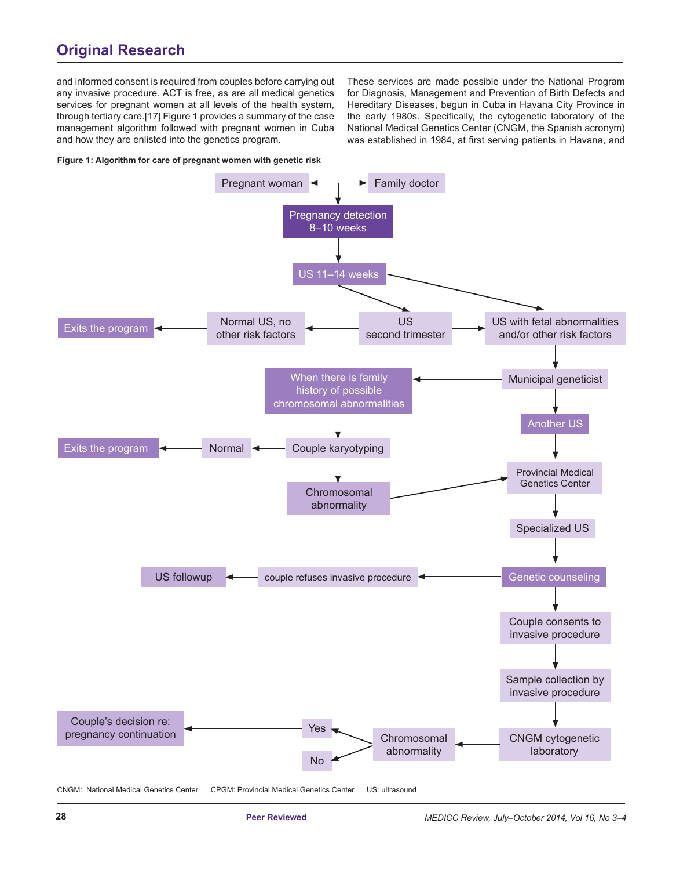and informed consent is required from couples before carrying out any invasive procedure. ACT is free, as are all medical genetics services for pregnant women at all levels of the health system, through tertiary care.[17] Figure 1 provides a summary of the case management algorithm followed with pregnant women in Cuba and how they are enlisted into the genetics program.

**Figure 1: Algorithm for care of pregnant women with genetic risk**



CNGM: National Medical Genetics Center CPGM: Provincial Medical Genetics Center US: ultrasound

These services are made possible under the National Program for Diagnosis, Management and Prevention of Birth Defects and Hereditary Diseases, begun in Cuba in Havana City Province in the early 1980s. Specifically, the cytogenetic laboratory of the National Medical Genetics Center (CNGM, the Spanish acronym) was established in 1984, at first serving patients in Havana, and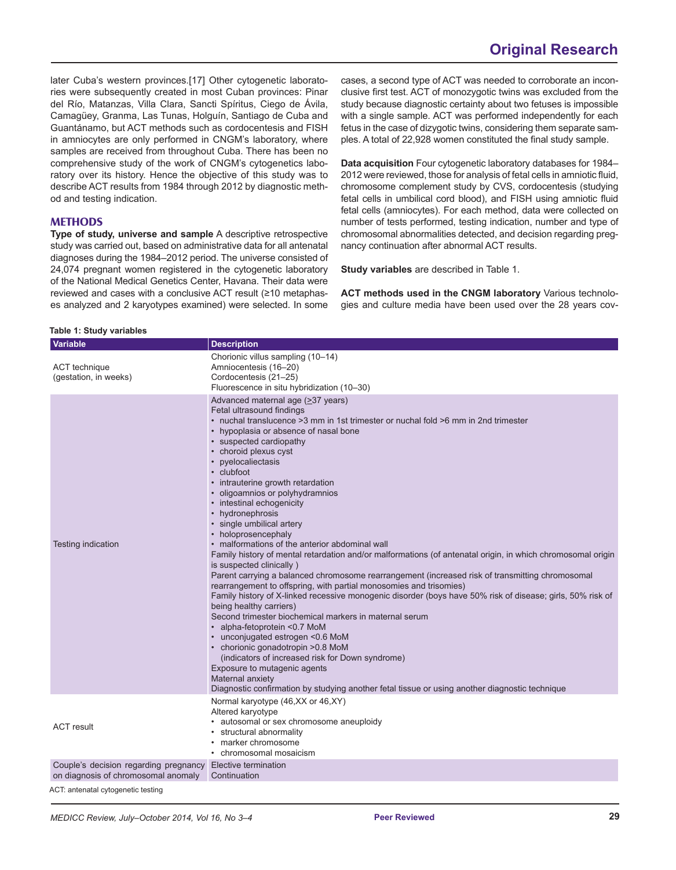later Cuba's western provinces.[17] Other cytogenetic laboratories were subsequently created in most Cuban provinces: Pinar del Río, Matanzas, Villa Clara, Sancti Spíritus, Ciego de Ávila, Camagüey, Granma, Las Tunas, Holguín, Santiago de Cuba and Guantánamo, but ACT methods such as cordocentesis and FISH in amniocytes are only performed in CNGM's laboratory, where samples are received from throughout Cuba. There has been no comprehensive study of the work of CNGM's cytogenetics laboratory over its history. Hence the objective of this study was to describe ACT results from 1984 through 2012 by diagnostic method and testing indication.

### **METHODS**

**Type of study, universe and sample** A descriptive retrospective study was carried out, based on administrative data for all antenatal diagnoses during the 1984–2012 period. The universe consisted of 24,074 pregnant women registered in the cytogenetic laboratory of the National Medical Genetics Center, Havana. Their data were reviewed and cases with a conclusive ACT result (≥10 metaphases analyzed and 2 karyotypes examined) were selected. In some

cases, a second type of ACT was needed to corroborate an inconclusive first test. ACT of monozygotic twins was excluded from the study because diagnostic certainty about two fetuses is impossible with a single sample. ACT was performed independently for each fetus in the case of dizygotic twins, considering them separate samples. A total of 22,928 women constituted the final study sample.

**Data acquisition** Four cytogenetic laboratory databases for 1984– 2012 were reviewed, those for analysis of fetal cells in amniotic fluid, chromosome complement study by CVS, cordocentesis (studying fetal cells in umbilical cord blood), and FISH using amniotic fluid fetal cells (amniocytes). For each method, data were collected on number of tests performed, testing indication, number and type of chromosomal abnormalities detected, and decision regarding pregnancy continuation after abnormal ACT results.

**Study variables** are described in Table 1.

**ACT methods used in the CNGM laboratory** Various technologies and culture media have been used over the 28 years cov-

| Table 1: Study variables |  |  |  |  |
|--------------------------|--|--|--|--|
|--------------------------|--|--|--|--|

| Variable                                                                                          | <b>Description</b>                                                                                                                                                                                                                                                                                                                                                                                                                                                                                                                                                                                                                                                                                                                                                                                                                                                                                                                                                                                                                                                                                                                                                                                                                                                                                                                                                |
|---------------------------------------------------------------------------------------------------|-------------------------------------------------------------------------------------------------------------------------------------------------------------------------------------------------------------------------------------------------------------------------------------------------------------------------------------------------------------------------------------------------------------------------------------------------------------------------------------------------------------------------------------------------------------------------------------------------------------------------------------------------------------------------------------------------------------------------------------------------------------------------------------------------------------------------------------------------------------------------------------------------------------------------------------------------------------------------------------------------------------------------------------------------------------------------------------------------------------------------------------------------------------------------------------------------------------------------------------------------------------------------------------------------------------------------------------------------------------------|
| ACT technique<br>(gestation, in weeks)                                                            | Chorionic villus sampling (10-14)<br>Amniocentesis (16-20)<br>Cordocentesis (21-25)<br>Fluorescence in situ hybridization (10-30)                                                                                                                                                                                                                                                                                                                                                                                                                                                                                                                                                                                                                                                                                                                                                                                                                                                                                                                                                                                                                                                                                                                                                                                                                                 |
| Testing indication                                                                                | Advanced maternal age (≥37 years)<br>Fetal ultrasound findings<br>• nuchal translucence > 3 mm in 1st trimester or nuchal fold > 6 mm in 2nd trimester<br>• hypoplasia or absence of nasal bone<br>• suspected cardiopathy<br>• choroid plexus cyst<br>• pyelocaliectasis<br>• clubfoot<br>• intrauterine growth retardation<br>· oligoamnios or polyhydramnios<br>• intestinal echogenicity<br>• hydronephrosis<br>· single umbilical artery<br>• holoprosencephaly<br>• malformations of the anterior abdominal wall<br>Family history of mental retardation and/or malformations (of antenatal origin, in which chromosomal origin<br>is suspected clinically)<br>Parent carrying a balanced chromosome rearrangement (increased risk of transmitting chromosomal<br>rearrangement to offspring, with partial monosomies and trisomies)<br>Family history of X-linked recessive monogenic disorder (boys have 50% risk of disease; girls, 50% risk of<br>being healthy carriers)<br>Second trimester biochemical markers in maternal serum<br>• alpha-fetoprotein <0.7 MoM<br>• unconjugated estrogen <0.6 MoM<br>• chorionic gonadotropin > 0.8 MoM<br>(indicators of increased risk for Down syndrome)<br>Exposure to mutagenic agents<br>Maternal anxiety<br>Diagnostic confirmation by studying another fetal tissue or using another diagnostic technique |
| <b>ACT</b> result                                                                                 | Normal karyotype (46, XX or 46, XY)<br>Altered karyotype<br>• autosomal or sex chromosome aneuploidy<br>• structural abnormality<br>• marker chromosome<br>• chromosomal mosaicism                                                                                                                                                                                                                                                                                                                                                                                                                                                                                                                                                                                                                                                                                                                                                                                                                                                                                                                                                                                                                                                                                                                                                                                |
| Couple's decision regarding pregnancy Elective termination<br>on diagnosis of chromosomal anomaly | Continuation                                                                                                                                                                                                                                                                                                                                                                                                                                                                                                                                                                                                                                                                                                                                                                                                                                                                                                                                                                                                                                                                                                                                                                                                                                                                                                                                                      |

ACT: antenatal cytogenetic testing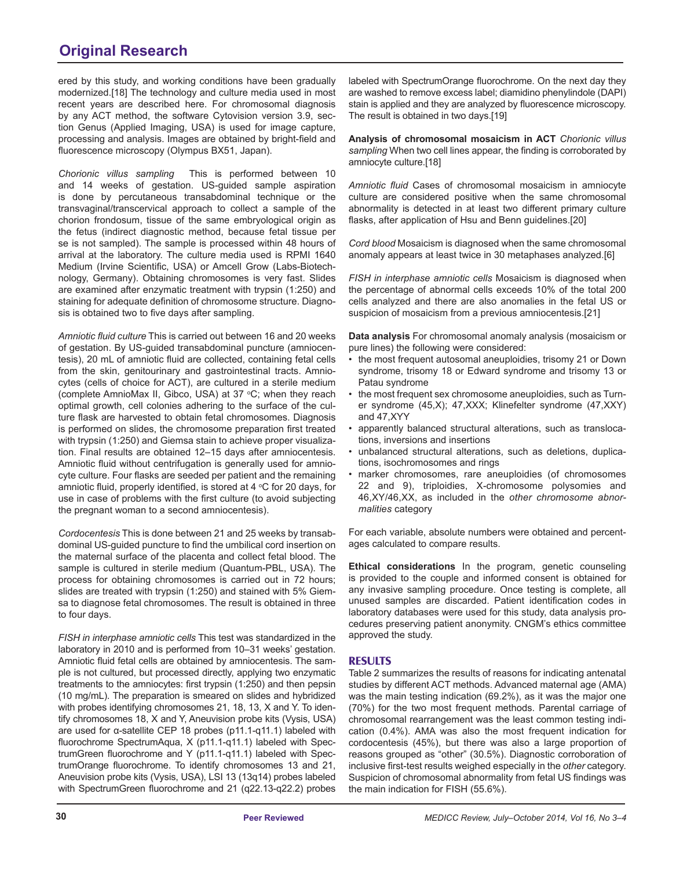ered by this study, and working conditions have been gradually modernized.[18] The technology and culture media used in most recent years are described here. For chromosomal diagnosis by any ACT method, the software Cytovision version 3.9, section Genus (Applied Imaging, USA) is used for image capture, processing and analysis. Images are obtained by bright-field and fluorescence microscopy (Olympus BX51, Japan).

*Chorionic villus sampling* This is performed between 10 and 14 weeks of gestation. US-guided sample aspiration is done by percutaneous transabdominal technique or the transvaginal/transcervical approach to collect a sample of the chorion frondosum, tissue of the same embryological origin as the fetus (indirect diagnostic method, because fetal tissue per se is not sampled). The sample is processed within 48 hours of arrival at the laboratory. The culture media used is RPMI 1640 Medium (Irvine Scientific, USA) or Amcell Grow (Labs-Biotechnology, Germany). Obtaining chromosomes is very fast. Slides are examined after enzymatic treatment with trypsin (1:250) and staining for adequate definition of chromosome structure. Diagnosis is obtained two to five days after sampling.

*Amniotic fluid culture* This is carried out between 16 and 20 weeks of gestation. By US-guided transabdominal puncture (amniocentesis), 20 mL of amniotic fluid are collected, containing fetal cells from the skin, genitourinary and gastrointestinal tracts. Amniocytes (cells of choice for ACT), are cultured in a sterile medium (complete AmnioMax II, Gibco, USA) at 37 °C; when they reach optimal growth, cell colonies adhering to the surface of the culture flask are harvested to obtain fetal chromosomes. Diagnosis is performed on slides, the chromosome preparation first treated with trypsin (1:250) and Giemsa stain to achieve proper visualization. Final results are obtained 12–15 days after amniocentesis. Amniotic fluid without centrifugation is generally used for amniocyte culture. Four flasks are seeded per patient and the remaining amniotic fluid, properly identified, is stored at 4  $\rm{°C}$  for 20 days, for use in case of problems with the first culture (to avoid subjecting the pregnant woman to a second amniocentesis).

*Cordocentesis* This is done between 21 and 25 weeks by transabdominal US-guided puncture to find the umbilical cord insertion on the maternal surface of the placenta and collect fetal blood. The sample is cultured in sterile medium (Quantum-PBL, USA). The process for obtaining chromosomes is carried out in 72 hours; slides are treated with trypsin (1:250) and stained with 5% Giemsa to diagnose fetal chromosomes. The result is obtained in three to four days.

*FISH in interphase amniotic cells* This test was standardized in the laboratory in 2010 and is performed from 10–31 weeks' gestation. Amniotic fluid fetal cells are obtained by amniocentesis. The sample is not cultured, but processed directly, applying two enzymatic treatments to the amniocytes: first trypsin (1:250) and then pepsin (10 mg/mL). The preparation is smeared on slides and hybridized with probes identifying chromosomes 21, 18, 13, X and Y. To identify chromosomes 18, X and Y, Aneuvision probe kits (Vysis, USA) are used for α-satellite CEP 18 probes (p11.1-q11.1) labeled with fluorochrome SpectrumAqua, X (p11.1-q11.1) labeled with SpectrumGreen fluorochrome and Y (p11.1-q11.1) labeled with SpectrumOrange fluorochrome. To identify chromosomes 13 and 21, Aneuvision probe kits (Vysis, USA), LSI 13 (13q14) probes labeled with SpectrumGreen fluorochrome and 21 (q22.13-q22.2) probes labeled with SpectrumOrange fluorochrome. On the next day they are washed to remove excess label; diamidino phenylindole (DAPI) stain is applied and they are analyzed by fluorescence microscopy. The result is obtained in two days.[19]

**Analysis of chromosomal mosaicism in ACT** *Chorionic villus sampling* When two cell lines appear, the finding is corroborated by amniocyte culture.[18]

*Amniotic fluid* Cases of chromosomal mosaicism in amniocyte culture are considered positive when the same chromosomal abnormality is detected in at least two different primary culture flasks, after application of Hsu and Benn guidelines.[20]

*Cord blood* Mosaicism is diagnosed when the same chromosomal anomaly appears at least twice in 30 metaphases analyzed.[6]

*FISH in interphase amniotic cells* Mosaicism is diagnosed when the percentage of abnormal cells exceeds 10% of the total 200 cells analyzed and there are also anomalies in the fetal US or suspicion of mosaicism from a previous amniocentesis.[21]

**Data analysis** For chromosomal anomaly analysis (mosaicism or pure lines) the following were considered:

- the most frequent autosomal aneuploidies, trisomy 21 or Down syndrome, trisomy 18 or Edward syndrome and trisomy 13 or Patau syndrome
- the most frequent sex chromosome aneuploidies, such as Turner syndrome (45,X); 47,XXX; Klinefelter syndrome (47,XXY) and 47,XYY
- apparently balanced structural alterations, such as translocations, inversions and insertions
- unbalanced structural alterations, such as deletions, duplications, isochromosomes and rings
- marker chromosomes, rare aneuploidies (of chromosomes 22 and 9), triploidies, X-chromosome polysomies and 46,XY/46,XX, as included in the *other chromosome abnormalities* category

For each variable, absolute numbers were obtained and percentages calculated to compare results.

**Ethical considerations** In the program, genetic counseling is provided to the couple and informed consent is obtained for any invasive sampling procedure. Once testing is complete, all unused samples are discarded. Patient identification codes in laboratory databases were used for this study, data analysis procedures preserving patient anonymity. CNGM's ethics committee approved the study.

#### **RESULTS**

Table 2 summarizes the results of reasons for indicating antenatal studies by different ACT methods. Advanced maternal age (AMA) was the main testing indication (69.2%), as it was the major one (70%) for the two most frequent methods. Parental carriage of chromosomal rearrangement was the least common testing indication (0.4%). AMA was also the most frequent indication for cordocentesis (45%), but there was also a large proportion of reasons grouped as "other" (30.5%). Diagnostic corroboration of inclusive first-test results weighed especially in the *other* category. Suspicion of chromosomal abnormality from fetal US findings was the main indication for FISH (55.6%).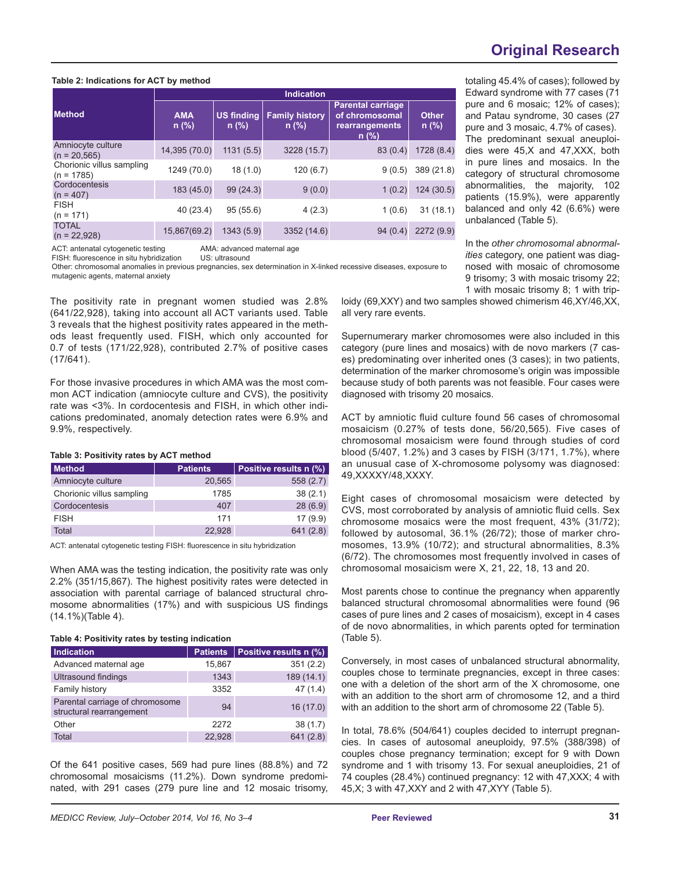#### **Table 2: Indications for ACT by method**

|                                           | <b>Indication</b>                                     |           |                                  |                                                                         |                         |  |  |  |
|-------------------------------------------|-------------------------------------------------------|-----------|----------------------------------|-------------------------------------------------------------------------|-------------------------|--|--|--|
| <b>Method</b>                             | <b>AMA</b><br><b>US finding</b><br>$n$ (%)<br>$n$ (%) |           | <b>Family history</b><br>$n$ (%) | <b>Parental carriage</b><br>of chromosomal<br>rearrangements<br>$n$ (%) | <b>Other</b><br>$n$ (%) |  |  |  |
| Amniocyte culture<br>$(n = 20, 565)$      | 14,395 (70.0)                                         | 1131(5.5) | 3228 (15.7)                      | 83(0.4)                                                                 | 1728(8.4)               |  |  |  |
| Chorionic villus sampling<br>$(n = 1785)$ | 1249 (70.0)                                           | 18(1.0)   | 120(6.7)                         | 9(0.5)                                                                  | 389 (21.8)              |  |  |  |
| Cordocentesis<br>$(n = 407)$              | 183 (45.0)                                            | 99(24.3)  | 9(0.0)                           | 1(0.2)                                                                  | 124(30.5)               |  |  |  |
| <b>FISH</b><br>$(n = 171)$                | 40 (23.4)                                             | 95(55.6)  | 4(2.3)                           | 1(0.6)                                                                  | 31(18.1)                |  |  |  |
| <b>TOTAL</b><br>$(n = 22,928)$            | 15,867(69.2)                                          | 1343(5.9) | 3352 (14.6)                      | 94(0.4)                                                                 | 2272(9.9)               |  |  |  |

ACT: antenatal cytogenetic testing AMA: advanced maternal age<br>FISH: fluorescence in situ hybridization US: ultrasound

FISH: fluorescence in situ hybridization

Other: chromosomal anomalies in previous pregnancies, sex determination in X-linked recessive diseases, exposure to mutagenic agents, maternal anxiety

The positivity rate in pregnant women studied was 2.8% (641/22,928), taking into account all ACT variants used. Table 3 reveals that the highest positivity rates appeared in the methods least frequently used. FISH, which only accounted for 0.7 of tests (171/22,928), contributed 2.7% of positive cases (17/641).

For those invasive procedures in which AMA was the most common ACT indication (amniocyte culture and CVS), the positivity rate was <3%. In cordocentesis and FISH, in which other indications predominated, anomaly detection rates were 6.9% and 9.9%, respectively.

#### **Table 3: Positivity rates by ACT method**

| <b>Method</b>             | <b>Patients</b> | Positive results n (%) |
|---------------------------|-----------------|------------------------|
| Amniocyte culture         | 20,565          | 558(2.7)               |
| Chorionic villus sampling | 1785            | 38(2.1)                |
| Cordocentesis             | 407             | 28(6.9)                |
| <b>FISH</b>               | 171             | 17(9.9)                |
| Total                     | 22.928          | 641(2.8)               |

ACT: antenatal cytogenetic testing FISH: fluorescence in situ hybridization

When AMA was the testing indication, the positivity rate was only 2.2% (351/15,867). The highest positivity rates were detected in association with parental carriage of balanced structural chromosome abnormalities (17%) and with suspicious US findings (14.1%)(Table 4).

#### **Table 4: Positivity rates by testing indication**

| <b>Indication</b>                                           | <b>Patients</b> | Positive results n (%) |
|-------------------------------------------------------------|-----------------|------------------------|
| Advanced maternal age                                       | 15,867          | 351(2.2)               |
| Ultrasound findings                                         | 1343            | 189 (14.1)             |
| Family history                                              | 3352            | 47(1.4)                |
| Parental carriage of chromosome<br>structural rearrangement | 94              | 16(17.0)               |
| Other                                                       | 2272            | 38(1.7)                |
| Total                                                       | 22,928          | 641(2.8)               |

Of the 641 positive cases, 569 had pure lines (88.8%) and 72 chromosomal mosaicisms (11.2%). Down syndrome predominated, with 291 cases (279 pure line and 12 mosaic trisomy,

# **Original Research**

totaling 45.4% of cases); followed by Edward syndrome with 77 cases (71 pure and 6 mosaic; 12% of cases); and Patau syndrome, 30 cases (27 pure and 3 mosaic, 4.7% of cases). The predominant sexual aneuploidies were 45,X and 47,XXX, both in pure lines and mosaics. In the category of structural chromosome abnormalities, the majority, 102 patients (15.9%), were apparently balanced and only 42 (6.6%) were unbalanced (Table 5).

In the *other chromosomal abnormalities* category, one patient was diagnosed with mosaic of chromosome 9 trisomy; 3 with mosaic trisomy 22; 1 with mosaic trisomy 8; 1 with trip-

loidy (69,XXY) and two samples showed chimerism 46,XY/46,XX, all very rare events.

Supernumerary marker chromosomes were also included in this category (pure lines and mosaics) with de novo markers (7 cases) predominating over inherited ones (3 cases); in two patients, determination of the marker chromosome's origin was impossible because study of both parents was not feasible. Four cases were diagnosed with trisomy 20 mosaics.

ACT by amniotic fluid culture found 56 cases of chromosomal mosaicism (0.27% of tests done, 56/20,565). Five cases of chromosomal mosaicism were found through studies of cord blood (5/407, 1.2%) and 3 cases by FISH (3/171, 1.7%), where an unusual case of X-chromosome polysomy was diagnosed: 49,XXXXY/48,XXXY.

Eight cases of chromosomal mosaicism were detected by CVS, most corroborated by analysis of amniotic fluid cells. Sex chromosome mosaics were the most frequent, 43% (31/72); followed by autosomal, 36.1% (26/72); those of marker chromosomes, 13.9% (10/72); and structural abnormalities, 8.3% (6/72). The chromosomes most frequently involved in cases of chromosomal mosaicism were X, 21, 22, 18, 13 and 20.

Most parents chose to continue the pregnancy when apparently balanced structural chromosomal abnormalities were found (96 cases of pure lines and 2 cases of mosaicism), except in 4 cases of de novo abnormalities, in which parents opted for termination (Table 5).

Conversely, in most cases of unbalanced structural abnormality, couples chose to terminate pregnancies, except in three cases: one with a deletion of the short arm of the X chromosome, one with an addition to the short arm of chromosome 12, and a third with an addition to the short arm of chromosome 22 (Table 5).

In total, 78.6% (504/641) couples decided to interrupt pregnancies. In cases of autosomal aneuploidy, 97.5% (388/398) of couples chose pregnancy termination; except for 9 with Down syndrome and 1 with trisomy 13. For sexual aneuploidies, 21 of 74 couples (28.4%) continued pregnancy: 12 with 47,XXX; 4 with 45,X; 3 with 47,XXY and 2 with 47,XYY (Table 5).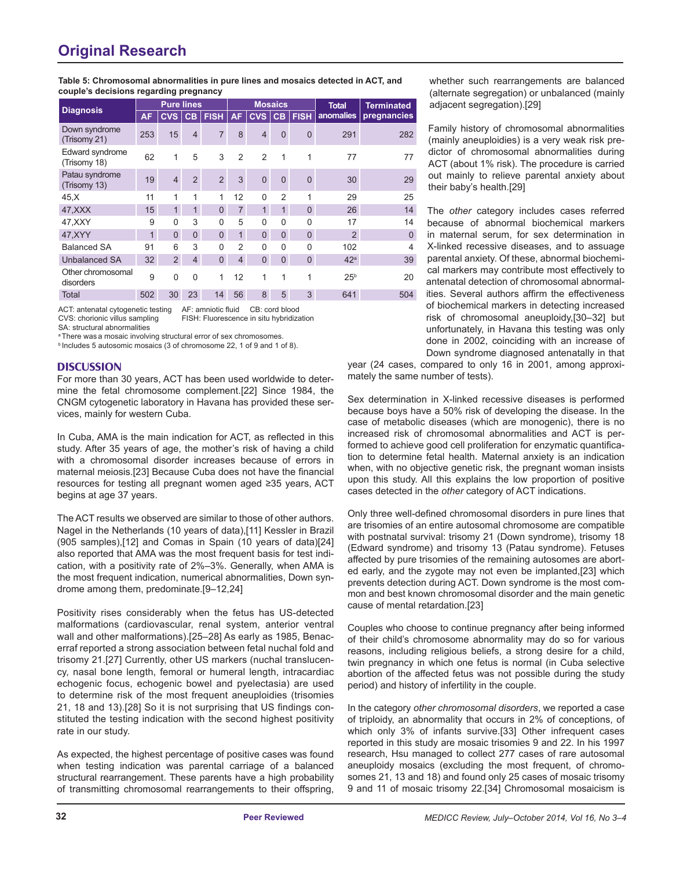| couple's decisions regarding pregnancy |                   |                |                |                |                |                |                |              |                   |                          |
|----------------------------------------|-------------------|----------------|----------------|----------------|----------------|----------------|----------------|--------------|-------------------|--------------------------|
| <b>Diagnosis</b>                       | <b>Pure lines</b> |                |                | <b>Mosaics</b> |                |                |                | <b>Total</b> | <b>Terminated</b> |                          |
|                                        | <b>AF</b>         | CVS l          | CB             | <b>FISH</b>    | <b>AF</b>      | CVS            | CB             | <b>FISH</b>  | anomalies         | pregnancies              |
| Down syndrome<br>(Trisomy 21)          | 253               | 15             | $\overline{4}$ | $\overline{7}$ | 8              | $\overline{4}$ | $\Omega$       | $\Omega$     | 291               | 282                      |
| Edward syndrome<br>(Trisomy 18)        | 62                | 1              | 5              | 3              | $\overline{2}$ | $\mathfrak{p}$ | 1              | 1            | 77                | 77                       |
| Patau syndrome<br>(Trisomy 13)         | 19                | $\overline{4}$ | $\overline{2}$ | $\overline{2}$ | 3              | $\Omega$       | $\Omega$       | $\Omega$     | 30                | 29                       |
| 45, X                                  | 11                | 1              | 1              | 1              | 12             | $\Omega$       | $\mathfrak{p}$ | 1            | 29                | 25                       |
| 47, XXX                                | 15                | $\overline{1}$ | 1              | $\overline{0}$ | $\overline{7}$ | $\mathbf{1}$   | $\overline{1}$ | $\Omega$     | 26                | 14                       |
| 47, XXY                                | 9                 | 0              | 3              | 0              | 5              | 0              | $\Omega$       | 0            | 17                | 14                       |
| 47, XYY                                | $\mathbf{1}$      | $\overline{0}$ | $\mathbf{0}$   | $\overline{0}$ | $\mathbf{1}$   | $\overline{0}$ | $\mathbf{0}$   | $\mathbf{0}$ | 2                 | $\Omega$                 |
| <b>Balanced SA</b>                     | 91                | 6              | 3              | 0              | $\overline{2}$ | 0              | $\Omega$       | $\Omega$     | 102               | $\overline{\mathcal{A}}$ |
| <b>Unbalanced SA</b>                   | 32                | $\overline{2}$ | $\overline{4}$ | $\overline{0}$ | $\overline{4}$ | $\Omega$       | $\Omega$       | $\mathbf{0}$ | 42 <sup>a</sup>   | 39                       |
| Other chromosomal<br>disorders         | 9                 | 0              | $\mathbf{0}$   | 1              | 12             | 1              | 1              | 1            | 25 <sup>b</sup>   | 20                       |
| Total                                  | 502               | 30             | 23             | 14             | 56             | 8              | 5              | 3            | 641               | 504                      |

ACT: antenatal cytogenetic testing AF: amniotic fluid CB: cord blood CVS: chorionic villus sampling FISH: Fluorescence in situ hybridization

SA: structural abnormalities

<sup>a</sup> There was a mosaic involving structural error of sex chromosomes.

b Includes 5 autosomic mosaics (3 of chromosome 22, 1 of 9 and 1 of 8).

#### **DISCUSSION**

For more than 30 years, ACT has been used worldwide to determine the fetal chromosome complement.[22] Since 1984, the CNGM cytogenetic laboratory in Havana has provided these services, mainly for western Cuba.

In Cuba, AMA is the main indication for ACT, as reflected in this study. After 35 years of age, the mother's risk of having a child with a chromosomal disorder increases because of errors in maternal meiosis.[23] Because Cuba does not have the financial resources for testing all pregnant women aged ≥35 years, ACT begins at age 37 years.

The ACT results we observed are similar to those of other authors. Nagel in the Netherlands (10 years of data),[11] Kessler in Brazil (905 samples),[12] and Comas in Spain (10 years of data)[24] also reported that AMA was the most frequent basis for test indication, with a positivity rate of 2%–3%. Generally, when AMA is the most frequent indication, numerical abnormalities, Down syndrome among them, predominate.[9–12,24]

Positivity rises considerably when the fetus has US-detected malformations (cardiovascular, renal system, anterior ventral wall and other malformations).[25–28] As early as 1985, Benacerraf reported a strong association between fetal nuchal fold and trisomy 21.[27] Currently, other US markers (nuchal translucency, nasal bone length, femoral or humeral length, intracardiac echogenic focus, echogenic bowel and pyelectasia) are used to determine risk of the most frequent aneuploidies (trisomies 21, 18 and 13).[28] So it is not surprising that US findings constituted the testing indication with the second highest positivity rate in our study.

As expected, the highest percentage of positive cases was found when testing indication was parental carriage of a balanced structural rearrangement. These parents have a high probability of transmitting chromosomal rearrangements to their offspring,

whether such rearrangements are balanced (alternate segregation) or unbalanced (mainly adjacent segregation).[29]

Family history of chromosomal abnormalities (mainly aneuploidies) is a very weak risk predictor of chromosomal abnormalities during ACT (about 1% risk). The procedure is carried out mainly to relieve parental anxiety about their baby's health.[29]

The *other* category includes cases referred because of abnormal biochemical markers in maternal serum, for sex determination in X-linked recessive diseases, and to assuage parental anxiety. Of these, abnormal biochemical markers may contribute most effectively to antenatal detection of chromosomal abnormalities. Several authors affirm the effectiveness of biochemical markers in detecting increased risk of chromosomal aneuploidy,[30–32] but unfortunately, in Havana this testing was only done in 2002, coinciding with an increase of Down syndrome diagnosed antenatally in that

year (24 cases, compared to only 16 in 2001, among approximately the same number of tests).

Sex determination in X-linked recessive diseases is performed because boys have a 50% risk of developing the disease. In the case of metabolic diseases (which are monogenic), there is no increased risk of chromosomal abnormalities and ACT is performed to achieve good cell proliferation for enzymatic quantification to determine fetal health. Maternal anxiety is an indication when, with no objective genetic risk, the pregnant woman insists upon this study. All this explains the low proportion of positive cases detected in the *other* category of ACT indications.

Only three well-defined chromosomal disorders in pure lines that are trisomies of an entire autosomal chromosome are compatible with postnatal survival: trisomy 21 (Down syndrome), trisomy 18 (Edward syndrome) and trisomy 13 (Patau syndrome). Fetuses affected by pure trisomies of the remaining autosomes are aborted early, and the zygote may not even be implanted,[23] which prevents detection during ACT. Down syndrome is the most common and best known chromosomal disorder and the main genetic cause of mental retardation.[23]

Couples who choose to continue pregnancy after being informed of their child's chromosome abnormality may do so for various reasons, including religious beliefs, a strong desire for a child, twin pregnancy in which one fetus is normal (in Cuba selective abortion of the affected fetus was not possible during the study period) and history of infertility in the couple.

In the category *other chromosomal disorders*, we reported a case of triploidy, an abnormality that occurs in 2% of conceptions, of which only 3% of infants survive.[33] Other infrequent cases reported in this study are mosaic trisomies 9 and 22. In his 1997 research, Hsu managed to collect 277 cases of rare autosomal aneuploidy mosaics (excluding the most frequent, of chromosomes 21, 13 and 18) and found only 25 cases of mosaic trisomy 9 and 11 of mosaic trisomy 22.[34] Chromosomal mosaicism is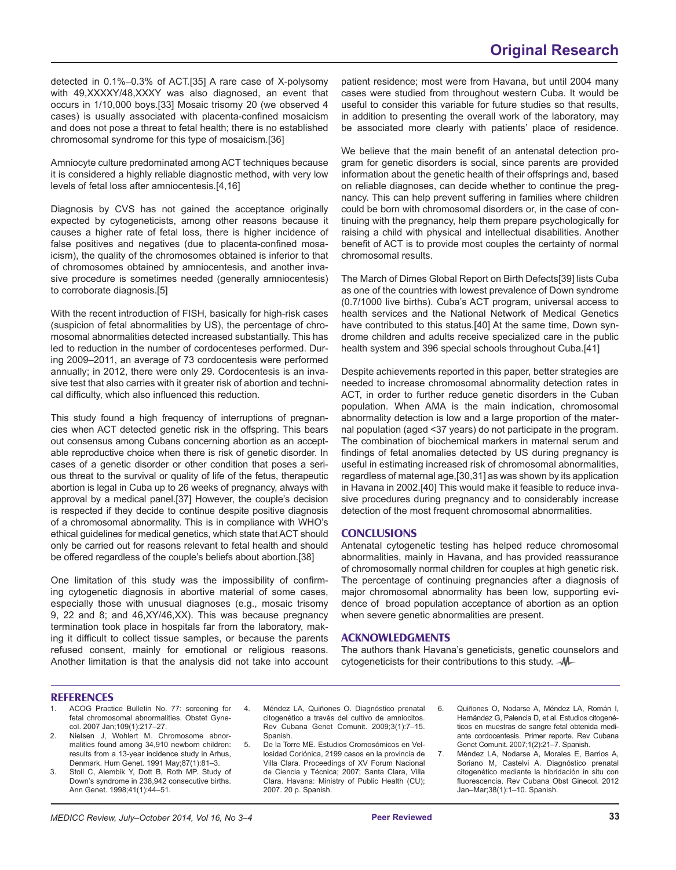detected in 0.1%–0.3% of ACT.[35] A rare case of X-polysomy with 49,XXXXY/48,XXXY was also diagnosed, an event that occurs in 1/10,000 boys.[33] Mosaic trisomy 20 (we observed 4 cases) is usually associated with placenta-confined mosaicism and does not pose a threat to fetal health; there is no established chromosomal syndrome for this type of mosaicism.[36]

Amniocyte culture predominated among ACT techniques because it is considered a highly reliable diagnostic method, with very low levels of fetal loss after amniocentesis.[4,16]

Diagnosis by CVS has not gained the acceptance originally expected by cytogeneticists, among other reasons because it causes a higher rate of fetal loss, there is higher incidence of false positives and negatives (due to placenta-confined mosaicism), the quality of the chromosomes obtained is inferior to that of chromosomes obtained by amniocentesis, and another invasive procedure is sometimes needed (generally amniocentesis) to corroborate diagnosis.[5]

With the recent introduction of FISH, basically for high-risk cases (suspicion of fetal abnormalities by US), the percentage of chromosomal abnormalities detected increased substantially. This has led to reduction in the number of cordocenteses performed. During 2009–2011, an average of 73 cordocentesis were performed annually; in 2012, there were only 29. Cordocentesis is an invasive test that also carries with it greater risk of abortion and technical difficulty, which also influenced this reduction.

This study found a high frequency of interruptions of pregnancies when ACT detected genetic risk in the offspring. This bears out consensus among Cubans concerning abortion as an acceptable reproductive choice when there is risk of genetic disorder. In cases of a genetic disorder or other condition that poses a serious threat to the survival or quality of life of the fetus, therapeutic abortion is legal in Cuba up to 26 weeks of pregnancy, always with approval by a medical panel.[37] However, the couple's decision is respected if they decide to continue despite positive diagnosis of a chromosomal abnormality. This is in compliance with WHO's ethical guidelines for medical genetics, which state that ACT should only be carried out for reasons relevant to fetal health and should be offered regardless of the couple's beliefs about abortion.[38]

One limitation of this study was the impossibility of confirming cytogenetic diagnosis in abortive material of some cases, especially those with unusual diagnoses (e.g., mosaic trisomy 9, 22 and 8; and 46,XY/46,XX). This was because pregnancy termination took place in hospitals far from the laboratory, making it difficult to collect tissue samples, or because the parents refused consent, mainly for emotional or religious reasons. Another limitation is that the analysis did not take into account patient residence; most were from Havana, but until 2004 many cases were studied from throughout western Cuba. It would be useful to consider this variable for future studies so that results, in addition to presenting the overall work of the laboratory, may be associated more clearly with patients' place of residence.

We believe that the main benefit of an antenatal detection program for genetic disorders is social, since parents are provided information about the genetic health of their offsprings and, based on reliable diagnoses, can decide whether to continue the pregnancy. This can help prevent suffering in families where children could be born with chromosomal disorders or, in the case of continuing with the pregnancy, help them prepare psychologically for raising a child with physical and intellectual disabilities. Another benefit of ACT is to provide most couples the certainty of normal chromosomal results.

The March of Dimes Global Report on Birth Defects[39] lists Cuba as one of the countries with lowest prevalence of Down syndrome (0.7/1000 live births). Cuba's ACT program, universal access to health services and the National Network of Medical Genetics have contributed to this status.[40] At the same time, Down syndrome children and adults receive specialized care in the public health system and 396 special schools throughout Cuba.[41]

Despite achievements reported in this paper, better strategies are needed to increase chromosomal abnormality detection rates in ACT, in order to further reduce genetic disorders in the Cuban population. When AMA is the main indication, chromosomal abnormality detection is low and a large proportion of the maternal population (aged <37 years) do not participate in the program. The combination of biochemical markers in maternal serum and findings of fetal anomalies detected by US during pregnancy is useful in estimating increased risk of chromosomal abnormalities, regardless of maternal age,[30,31] as was shown by its application in Havana in 2002.[40] This would make it feasible to reduce invasive procedures during pregnancy and to considerably increase detection of the most frequent chromosomal abnormalities.

#### **CONCLUSIONS**

Antenatal cytogenetic testing has helped reduce chromosomal abnormalities, mainly in Havana, and has provided reassurance of chromosomally normal children for couples at high genetic risk. The percentage of continuing pregnancies after a diagnosis of major chromosomal abnormality has been low, supporting evidence of broad population acceptance of abortion as an option when severe genetic abnormalities are present.

### **ACKNOWLEDGMENTS**

The authors thank Havana's geneticists, genetic counselors and cytogeneticists for their contributions to this study.  $\mathcal{M}$ 

#### **REFERENCES**

- 1. ACOG Practice Bulletin No. 77: screening for fetal chromosomal abnormalities. Obstet Gynecol. 2007 Jan;109(1):217–27.
- 2. Nielsen J, Wohlert M. Chromosome abnormalities found among 34,910 newborn children: results from a 13-year incidence study in Arhus, Denmark. Hum Genet. 1991 May;87(1):81–3.
- 3. Stoll C, Alembik Y, Dott B, Roth MP. Study of Down's syndrome in 238,942 consecutive births. Ann Genet. 1998;41(1):44–51.
- 4. Méndez LA, Quiñones O. Diagnóstico prenatal citogenético a través del cultivo de amniocitos. Rev Cubana Genet Comunit. 2009;3(1):7–15. Spanish.
- 5. De la Torre ME. Estudios Cromosómicos en Vellosidad Coriónica, 2199 casos en la provincia de Villa Clara. Proceedings of XV Forum Nacional de Ciencia y Técnica; 2007; Santa Clara, Villa Clara. Havana: Ministry of Public Health (CU); 2007. 20 p. Spanish.
- 6. Quiñones O, Nodarse A, Méndez LA, Román I, Hernández G, Palencia D, et al. Estudios citogenéticos en muestras de sangre fetal obtenida mediante cordocentesis. Primer reporte. Rev Cubana Genet Comunit. 2007;1(2):21–7. Spanish.
- 7. Méndez LA, Nodarse A, Morales E, Barrios A, Soriano M, Castelvi A. Diagnóstico prenatal citogenético mediante la hibridación in situ con fluorescencia. Rev Cubana Obst Ginecol. 2012 Jan–Mar;38(1):1–10. Spanish.